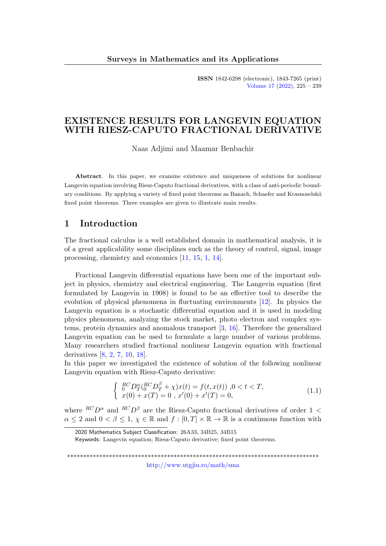ISSN 1842-6298 (electronic), 1843-7265 (print) [Volume 17 \(2022\),](http://www.utgjiu.ro/math/sma/v17/v17.html) 225 – 239

# EXISTENCE RESULTS FOR LANGEVIN EQUATION WITH RIESZ-CAPUTO FRACTIONAL DERIVATIVE

Naas Adjimi and Maamar Benbachir

Abstract. In this paper, we examine existence and uniqueness of solutions for nonlinear Langevin equation involving Riesz-Caputo fractional derivatives, with a class of anti-periodic boundary conditions. By applying a variety of fixed point theorems as Banach, Schaefer and Krasnoselskii fixed point theorems. Three examples are given to illustrate main results.

# 1 Introduction

The fractional calculus is a well established domain in mathematical analysis, it is of a great applicability some disciplines such as the theory of control, signal, image processing, chemistry and economics [\[11,](#page-13-0) [15,](#page-13-1) [1,](#page-12-0) [14\]](#page-13-2).

Fractional Langevin differential equations have been one of the important subject in physics, chemistry and electrical engineering. The Langevin equation (first formulated by Langevin in 1908) is found to be an effective tool to describe the evolution of physical phenomena in fluctuating environments [\[12\]](#page-13-3). In physics the Langevin equation is a stochastic differential equation and it is used in modeling physics phenomena, analyzing the stock market, photo electron and complex systems, protein dynamics and anomalous transport [\[3,](#page-12-1) [16\]](#page-13-4). Therefore the generalized Langevin equation can be used to formulate a large number of various problems. Many researchers studied fractional nonlinear Langevin equation with fractional derivatives [\[8,](#page-13-5) [2,](#page-12-2) [7,](#page-13-6) [10,](#page-13-7) [18\]](#page-13-8).

In this paper we investigated the existence of solution of the following nonlinear Langevin equation with Riesz-Caputo derivative:

<span id="page-0-0"></span>
$$
\begin{cases}\n\frac{RC}{0}D_T^{\alpha}(C_0^{RC}D_T^{\beta} + \chi)x(t) = f(t, x(t)), 0 < t < T, \\
x(0) + x(T) = 0, x'(0) + x'(T) = 0,\n\end{cases}
$$
\n(1.1)

where  ${}^{RC}D^{\alpha}$  and  ${}^{RC}D^{\beta}$  are the Riesz-Caputo fractional derivatives of order 1 <  $\alpha \leq 2$  and  $0 < \beta \leq 1$ ,  $\chi \in \mathbb{R}$  and  $f : [0, T] \times \mathbb{R} \to \mathbb{R}$  is a continuous function with

\*\*\*\*\*\*\*\*\*\*\*\*\*\*\*\*\*\*\*\*\*\*\*\*\*\*\*\*\*\*\*\*\*\*\*\*\*\*\*\*\*\*\*\*\*\*\*\*\*\*\*\*\*\*\*\*\*\*\*\*\*\*\*\*\*\*\*\*\*\*\*\*\*\*\*\*\*\*

<http://www.utgjiu.ro/math/sma>

<sup>2020</sup> Mathematics Subject Classification: 26A33, 34B25, 34B15

Keywords: Langevin equation; Riesz-Caputo derivative; fixed point theorems.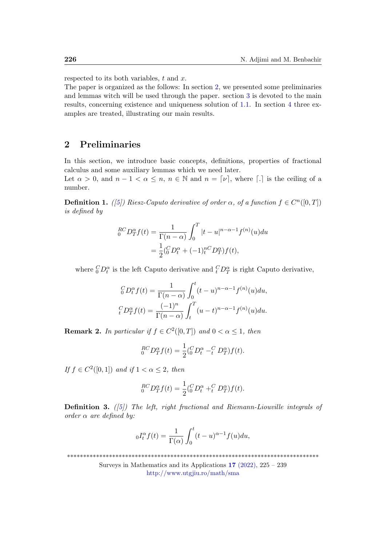respected to its both variables,  $t$  and  $x$ .

The paper is organized as the follows: In section [2,](#page-1-0) we presented some preliminaries and lemmas witch will be used through the paper. section [3](#page-2-0) is devoted to the main results, concerning existence and uniqueness solution of [1.1.](#page-0-0) In section [4](#page-11-0) three examples are treated, illustrating our main results.

# <span id="page-1-0"></span>2 Preliminaries

In this section, we introduce basic concepts, definitions, properties of fractional calculus and some auxiliary lemmas which we need later.

Let  $\alpha > 0$ , and  $n - 1 < \alpha \leq n$ ,  $n \in \mathbb{N}$  and  $n = [\nu]$ , where  $\lceil . \rceil$  is the ceiling of a number.

**Definition 1.** ([\[5\]](#page-12-3)) Riesz-Caputo derivative of order  $\alpha$ , of a function  $f \in C<sup>n</sup>(0,T]$ ) is defined by

$$
{}_{0}^{RC}D_{T}^{\alpha}f(t) = \frac{1}{\Gamma(n-\alpha)} \int_{0}^{T} |t-u|^{n-\alpha-1} f^{(n)}(u) du
$$
  
= 
$$
\frac{1}{2} ({}_{0}^{C}D_{t}^{\alpha} + (-1) {}_{t}^{nC}D_{T}^{\alpha}) f(t),
$$

where  ${}_{0}^{C}D_{t}^{\alpha}$  is the left Caputo derivative and  ${}_{t}^{C}D_{T}^{\alpha}$  is right Caputo derivative,

$$
{}_{0}^{C}D_{t}^{\alpha}f(t) = \frac{1}{\Gamma(n-\alpha)} \int_{0}^{t} (t-u)^{n-\alpha-1} f^{(n)}(u) du,
$$
  

$$
{}_{t}^{C}D_{T}^{\alpha}f(t) = \frac{(-1)^{n}}{\Gamma(n-\alpha)} \int_{t}^{T} (u-t)^{n-\alpha-1} f^{(n)}(u) du.
$$

**Remark 2.** In particular if  $f \in C^2([0,T])$  and  $0 < \alpha \leq 1$ , then

$$
{}_{0}^{RC}D_{T}^{\alpha}f(t) = \frac{1}{2} ({}_{0}^{C}D_{t}^{\alpha} - {}_{t}^{C}D_{T}^{\alpha})f(t).
$$

If  $f \in C^2([0,1])$  and if  $1 < \alpha \leq 2$ , then

$$
{}_{0}^{RC}D_{T}^{\alpha}f(t) = \frac{1}{2} ({}_{0}^{C}D_{t}^{\alpha} + {}_{t}^{C}D_{T}^{\alpha})f(t).
$$

**Definition 3.** ([\[5\]](#page-12-3)) The left, right fractional and Riemann-Liouville integrals of order  $\alpha$  are defined by:

$$
{}_{0}I_{t}^{\alpha}f(t) = \frac{1}{\Gamma(\alpha)} \int_{0}^{t} (t-u)^{\alpha-1} f(u) du,
$$

\*\*\*\*\*\*\*\*\*\*\*\*\*\*\*\*\*\*\*\*\*\*\*\*\*\*\*\*\*\*\*\*\*\*\*\*\*\*\*\*\*\*\*\*\*\*\*\*\*\*\*\*\*\*\*\*\*\*\*\*\*\*\*\*\*\*\*\*\*\*\*\*\*\*\*\*\*\*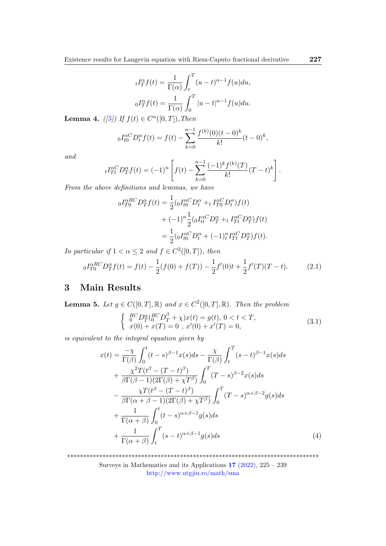$$
{}_{t}I_{T}^{\alpha}f(t) = \frac{1}{\Gamma(\alpha)} \int_{t}^{T} (u - t)^{\alpha - 1} f(u) du,
$$
  

$$
{}_{0}I_{T}^{\alpha}f(t) = \frac{1}{\Gamma(\alpha)} \int_{0}^{T} |u - t|^{\alpha - 1} f(u) du.
$$

<span id="page-2-2"></span>**Lemma 4.** ([\[5\]](#page-12-3)) If  $f(t) \in C^n([0, T])$ , Then

$$
{}_{0}I_{t0}^{\alpha C}D_{t}^{\alpha}f(t) = f(t) - \sum_{k=0}^{n-1} \frac{f^{(k)}(0)(t-0)^{k}}{k!}(t-0)^{k},
$$

and

$$
{}_{t}I_{Tt}^{\alpha C}D_{T}^{\alpha}f(t) = (-1)^{n} \left[ f(t) - \sum_{k=0}^{n-1} \frac{(-1)^{k} f^{(k)}(T)}{k!} (T-t)^{k} \right]
$$

From the above definitions and lemmas, we have

$$
{}_{0}I_{T0}^{\alpha RC}D_{T}^{\alpha}f(t) = \frac{1}{2} ({}_{0}I_{t0}^{\alpha C}D_{t}^{\alpha} + {}_{t}I_{T0}^{\alpha C}D_{t}^{\alpha})f(t)
$$

$$
+ (-1)^{n} \frac{1}{2} ({}_{0}I_{tt}^{\alpha C}D_{T}^{\alpha} + {}_{t}I_{Tt}^{\alpha C}D_{T}^{\alpha})f(t)
$$

$$
= \frac{1}{2} ({}_{0}I_{t0}^{\alpha C}D_{t}^{\alpha} + (-1)^{n}I_{Tt}^{\alpha C}D_{T}^{\alpha})f(t).
$$

In particular if  $1 < \alpha \leq 2$  and  $f \in C^2([0, T])$ , then

$$
{}_{0}I_{T0}^{\alpha RC}D_{T}^{\alpha}f(t) = f(t) - \frac{1}{2}(f(0) + f(T)) - \frac{1}{2}f'(0)t + \frac{1}{2}f'(T)(T - t). \tag{2.1}
$$

# <span id="page-2-0"></span>3 Main Results

<span id="page-2-4"></span>**Lemma 5.** Let  $g \in C([0,T], \mathbb{R})$  and  $x \in C^2([0,T], \mathbb{R})$ . Then the problem  $\int_{0}^{R} C D_T^{\alpha} ({}^{RC}_0 D_T^{\beta} + \chi) x(t) = g(t), 0 < t < T,$  $x(0) + x(T) = 0$ ,  $x'(0) + x'(T) = 0$ ,

is equivalent to the integral equation given by

<span id="page-2-1"></span>
$$
x(t) = \frac{-\chi}{\Gamma(\beta)} \int_0^t (t-s)^{\beta-1} x(s) ds - \frac{\chi}{\Gamma(\beta)} \int_t^T (s-t)^{\beta-1} x(s) ds
$$
  
+ 
$$
\frac{\chi^2 T(t^{\beta} - (T-t)^{\beta})}{\beta \Gamma(\beta-1)(2\Gamma(\beta) + \chi T^{\beta})} \int_0^T (T-s)^{\beta-2} x(s) ds
$$
  
- 
$$
\frac{\chi T(t^{\beta} - (T-t)^{\beta})}{\beta \Gamma(\alpha + \beta - 1)(2\Gamma(\beta) + \chi T^{\beta})} \int_0^T (T-s)^{\alpha+\beta-2} g(s) ds
$$
  
+ 
$$
\frac{1}{\Gamma(\alpha+\beta)} \int_0^t (t-s)^{\alpha+\beta-1} g(s) ds
$$
  
+ 
$$
\frac{1}{\Gamma(\alpha+\beta)} \int_t^T (s-t)^{\alpha+\beta-1} g(s) ds
$$
(4)

\*\*\*\*\*\*\*\*\*\*\*\*\*\*\*\*\*\*\*\*\*\*\*\*\*\*\*\*\*\*\*\*\*\*\*\*\*\*\*\*\*\*\*\*\*\*\*\*\*\*\*\*\*\*\*\*\*\*\*\*\*\*\*\*\*\*\*\*\*\*\*\*\*\*\*\*\*\*

Surveys in Mathematics and its Applications  $17$  [\(2022\),](http://www.utgjiu.ro/math/sma/v17/v17.html) 225 – 239 <http://www.utgjiu.ro/math/sma>

<span id="page-2-3"></span>(3.1)

.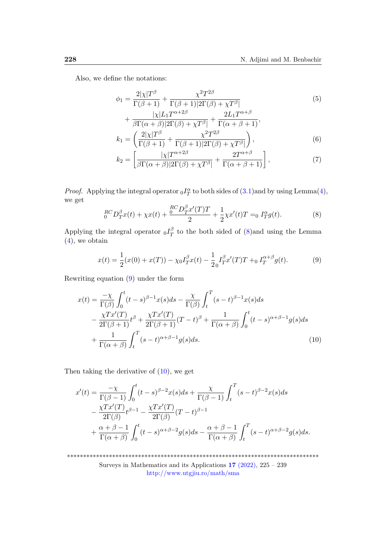Also, we define the notations:

<span id="page-3-3"></span>
$$
\phi_1 = \frac{2|\chi|T^{\beta}}{\Gamma(\beta+1)} + \frac{\chi^2 T^{2\beta}}{\Gamma(\beta+1)|2\Gamma(\beta)+\chi T^{\beta}|}\n\tag{5}
$$
\n
$$
|\chi|L_1 T^{\alpha+2\beta} \qquad 2L_1 T^{\alpha+\beta}
$$

<span id="page-3-5"></span>
$$
+\frac{|\chi|L_1T^{\alpha+2\beta}}{\beta\Gamma(\alpha+\beta)|2\Gamma(\beta)+\chi T^{\beta}|}+\frac{2L_1T^{\alpha+\beta}}{\Gamma(\alpha+\beta+1)},
$$

$$
k_1 = \left(\frac{2|\chi|T^{\beta}}{\Gamma(\beta+1)}+\frac{\chi^2T^{2\beta}}{\Gamma(\beta+1)|2\Gamma(\beta)+\chi T^{\beta}|}\right),
$$
(6)

<span id="page-3-4"></span><span id="page-3-0"></span>
$$
k_2 = \left[\frac{|\chi|T^{\alpha+2\beta}}{\beta\Gamma(\alpha+\beta)|2\Gamma(\beta)+\chi T^{\beta}|}+\frac{2T^{\alpha+\beta}}{\Gamma(\alpha+\beta+1)}\right],\tag{7}
$$

*Proof.* Applying the integral operator  $_0I_T^{\alpha}$  to both sides of  $(3.1)$  and by using Lemma $(4)$ , we get

$$
{}_{0}^{RC}D_{T}^{\beta}x(t) + \chi x(t) + \frac{{}_{0}^{RC}D_{T}^{\beta}x'(T)T}{2} + \frac{1}{2}\chi x'(t)T = {}_{0}I_{T}^{\alpha}g(t).
$$
 (8)

Applying the integral operator  $_0I_T^{\beta}$  $T<sub>T</sub><sup>p</sup>$  to the both sided of [\(8\)](#page-3-0)and using the Lemma [\(4\)](#page-2-2), we obtain

<span id="page-3-2"></span><span id="page-3-1"></span>
$$
x(t) = \frac{1}{2}(x(0) + x(T)) - \chi_0 I_T^{\beta} x(t) - \frac{1}{2} I_T^{\beta} x'(T) T + \chi_0 I_T^{\alpha+\beta} g(t).
$$
 (9)

Rewriting equation [\(9\)](#page-3-1) under the form

$$
x(t) = \frac{-\chi}{\Gamma(\beta)} \int_0^t (t-s)^{\beta-1} x(s) ds - \frac{\chi}{\Gamma(\beta)} \int_t^T (s-t)^{\beta-1} x(s) ds
$$
  

$$
- \frac{\chi Tx'(T)}{2\Gamma(\beta+1)} t^{\beta} + \frac{\chi Tx'(T)}{2\Gamma(\beta+1)} (T-t)^{\beta} + \frac{1}{\Gamma(\alpha+\beta)} \int_0^t (t-s)^{\alpha+\beta-1} g(s) ds
$$
  

$$
+ \frac{1}{\Gamma(\alpha+\beta)} \int_t^T (s-t)^{\alpha+\beta-1} g(s) ds.
$$
 (10)

Then taking the derivative of [\(10\)](#page-3-2), we get

$$
x'(t) = \frac{-\chi}{\Gamma(\beta - 1)} \int_0^t (t - s)^{\beta - 2} x(s) ds + \frac{\chi}{\Gamma(\beta - 1)} \int_t^T (s - t)^{\beta - 2} x(s) ds
$$
  

$$
- \frac{\chi Tx'(T)}{2\Gamma(\beta)} t^{\beta - 1} - \frac{\chi Tx'(T)}{2\Gamma(\beta)} (T - t)^{\beta - 1}
$$
  

$$
+ \frac{\alpha + \beta - 1}{\Gamma(\alpha + \beta)} \int_0^t (t - s)^{\alpha + \beta - 2} g(s) ds - \frac{\alpha + \beta - 1}{\Gamma(\alpha + \beta)} \int_t^T (s - t)^{\alpha + \beta - 2} g(s) ds.
$$

\*\*\*\*\*\*\*\*\*\*\*\*\*\*\*\*\*\*\*\*\*\*\*\*\*\*\*\*\*\*\*\*\*\*\*\*\*\*\*\*\*\*\*\*\*\*\*\*\*\*\*\*\*\*\*\*\*\*\*\*\*\*\*\*\*\*\*\*\*\*\*\*\*\*\*\*\*\* Surveys in Mathematics and its Applications 17 [\(2022\),](http://www.utgjiu.ro/math/sma/v17/v17.html) 225 – 239 <http://www.utgjiu.ro/math/sma>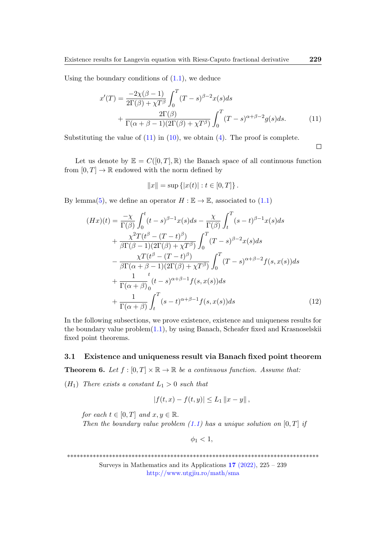Using the boundary conditions of  $(1.1)$ , we deduce

$$
x'(T) = \frac{-2\chi(\beta - 1)}{2\Gamma(\beta) + \chi T^{\beta}} \int_0^T (T - s)^{\beta - 2} x(s) ds
$$
  
+ 
$$
\frac{2\Gamma(\beta)}{\Gamma(\alpha + \beta - 1)(2\Gamma(\beta) + \chi T^{\beta})} \int_0^T (T - s)^{\alpha + \beta - 2} g(s) ds.
$$
(11)

Substituting the value of  $(11)$  in  $(10)$ , we obtain  $(4)$ . The proof is complete.

<span id="page-4-1"></span><span id="page-4-0"></span> $\Box$ 

Let us denote by  $\mathbb{E} = C([0,T], \mathbb{R})$  the Banach space of all continuous function from  $[0, T] \to \mathbb{R}$  endowed with the norm defined by

$$
||x|| = \sup \{|x(t)| : t \in [0, T]\}.
$$

By lemma[\(5\)](#page-2-4), we define an operator  $H : \mathbb{E} \to \mathbb{E}$ , associated to [\(1.1\)](#page-0-0)

$$
(Hx)(t) = \frac{-\chi}{\Gamma(\beta)} \int_0^t (t-s)^{\beta-1} x(s) ds - \frac{\chi}{\Gamma(\beta)} \int_t^T (s-t)^{\beta-1} x(s) ds
$$
  
+ 
$$
\frac{\chi^2 T(t^{\beta} - (T-t)^{\beta})}{\beta \Gamma(\beta - 1)(2\Gamma(\beta) + \chi T^{\beta})} \int_0^T (T-s)^{\beta-2} x(s) ds
$$
  
- 
$$
\frac{\chi T(t^{\beta} - (T-t)^{\beta})}{\beta \Gamma(\alpha + \beta - 1)(2\Gamma(\beta) + \chi T^{\beta})} \int_0^T (T-s)^{\alpha + \beta - 2} f(s, x(s)) ds
$$
  
+ 
$$
\frac{1}{\Gamma(\alpha + \beta)} \int_0^T (s-t)^{\alpha + \beta - 1} f(s, x(s)) ds
$$
  
+ 
$$
\frac{1}{\Gamma(\alpha + \beta)} \int_t^T (s-t)^{\alpha + \beta - 1} f(s, x(s)) ds
$$
(12)

In the following subsections, we prove existence, existence and uniqueness results for the boundary value problem[\(1.1\)](#page-0-0), by using Banach, Scheafer fixed and Krasnoselskii fixed point theorems.

### 3.1 Existence and uniqueness result via Banach fixed point theorem

<span id="page-4-2"></span>**Theorem 6.** Let  $f : [0, T] \times \mathbb{R} \to \mathbb{R}$  be a continuous function. Assume that:

 $(H_1)$  There exists a constant  $L_1 > 0$  such that

$$
|f(t,x) - f(t,y)| \le L_1 \|x - y\|,
$$

for each  $t \in [0, T]$  and  $x, y \in \mathbb{R}$ . Then the boundary value problem  $(1.1)$  has a unique solution on  $[0, T]$  if

 $\phi_1 < 1$ ,

\*\*\*\*\*\*\*\*\*\*\*\*\*\*\*\*\*\*\*\*\*\*\*\*\*\*\*\*\*\*\*\*\*\*\*\*\*\*\*\*\*\*\*\*\*\*\*\*\*\*\*\*\*\*\*\*\*\*\*\*\*\*\*\*\*\*\*\*\*\*\*\*\*\*\*\*\*\*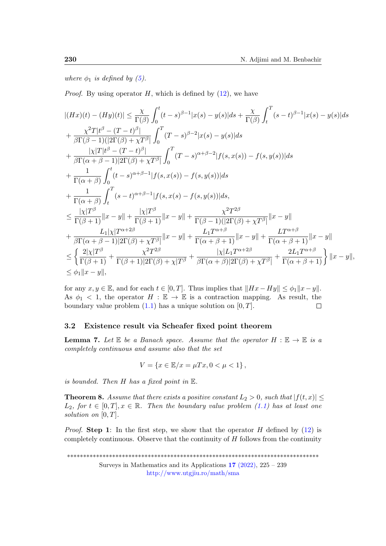where  $\phi_1$  is defined by [\(5\)](#page-3-3).

*Proof.* By using operator H, which is defined by  $(12)$ , we have

$$
\begin{split} &|(Hx)(t)-(Hy)(t)|\leq \frac{\chi}{\Gamma(\beta)}\int_{0}^{t}(t-s)^{\beta-1}|x(s)-y(s)|ds+\frac{\chi}{\Gamma(\beta)}\int_{t}^{T}(s-t)^{\beta-1}|x(s)-y(s)|ds\\ &+\frac{\chi^{2}T|t^{\beta}-(T-t)^{\beta}|}{\beta\Gamma(\beta-1)(|2\Gamma(\beta)+\chi T^{\beta}|}\int_{0}^{T}(T-s)^{\beta-2}|x(s)-y(s)|ds\\ &+\frac{|\chi|T|t^{\beta}-(T-t)^{\beta}|}{\beta\Gamma(\alpha+\beta-1)|2\Gamma(\beta)+\chi T^{\beta}|}\int_{0}^{T}(T-s)^{\alpha+\beta-2}|f(s,x(s))-f(s,y(s))|ds\\ &+\frac{1}{\Gamma(\alpha+\beta)}\int_{0}^{t}(t-s)^{\alpha+\beta-1}|f(s,x(s))-f(s,y(s))|ds\\ &+\frac{1}{\Gamma(\alpha+\beta)}\int_{t}^{T}(s-t)^{\alpha+\beta-1}|f(s,x(s)-f(s,y(s))|ds,\\ &\leq \frac{|\chi|T^{\beta}}{\Gamma(\beta+1)}\|x-y\|+\frac{|\chi|T^{\beta}}{\Gamma(\beta+1)}\|x-y\|+\frac{\chi^{2}T^{2\beta}}{\Gamma(\beta-1)(|2\Gamma(\beta)+\chi T^{\beta}|}\|x-y\|\\ &+\frac{L_{1}|\chi|T^{\alpha+2\beta}}{\beta\Gamma(\alpha+\beta-1)|2\Gamma(\beta)+\chi T^{\beta}|}\|x-y\|+\frac{L_{1}T^{\alpha+\beta}}{\Gamma(\alpha+\beta+1)}\|x-y\|\\ &\leq \left\{\frac{2|\chi|T^{\beta}}{\Gamma(\beta+1)}+\frac{\chi^{2}T^{2\beta}}{\Gamma(\beta+1)|2\Gamma(\beta)+\chi|T^{\beta}}+\frac{|\chi|L_{1}T^{\alpha+2\beta}}{\beta\Gamma(\alpha+\beta)|2\Gamma(\beta)+\chi T^{\beta}|}+\frac{2L_{1}T^{\alpha+\beta}}{\Gamma(\alpha+\beta+1)}\right\}\|x-y\|,\\ &\leq \phi_{1}\|x-y\|, \end{split}
$$

for any  $x, y \in \mathbb{E}$ , and for each  $t \in [0, T]$ . Thus implies that  $||Hx - Hy|| \leq \phi_1 ||x - y||$ . As  $\phi_1$  < 1, the operator  $H : \mathbb{E} \to \mathbb{E}$  is a contraction mapping. As result, the boundary value problem  $(1.1)$  has a unique solution on  $[0, T]$ .  $\Box$ 

#### 3.2 Existence result via Scheafer fixed point theorem

<span id="page-5-0"></span>**Lemma 7.** Let  $\mathbb E$  be a Banach space. Assume that the operator  $H : \mathbb E \to \mathbb E$  is a completely continuous and assume also that the set

$$
V = \{ x \in \mathbb{E}/x = \mu Tx, 0 < \mu < 1 \},
$$

is bounded. Then  $H$  has a fixed point in  $E$ .

<span id="page-5-1"></span>**Theorem 8.** Assume that there exists a positive constant  $L_2 > 0$ , such that  $|f(t,x)| \leq$  $L_2$ , for  $t \in [0,T], x \in \mathbb{R}$ . Then the boundary value problem [\(1.1\)](#page-0-0) has at least one solution on  $[0, T]$ .

*Proof.* Step 1: In the first step, we show that the operator H defined by  $(12)$  is completely continuous. Observe that the continuity of  $H$  follows from the continuity

\*\*\*\*\*\*\*\*\*\*\*\*\*\*\*\*\*\*\*\*\*\*\*\*\*\*\*\*\*\*\*\*\*\*\*\*\*\*\*\*\*\*\*\*\*\*\*\*\*\*\*\*\*\*\*\*\*\*\*\*\*\*\*\*\*\*\*\*\*\*\*\*\*\*\*\*\*\*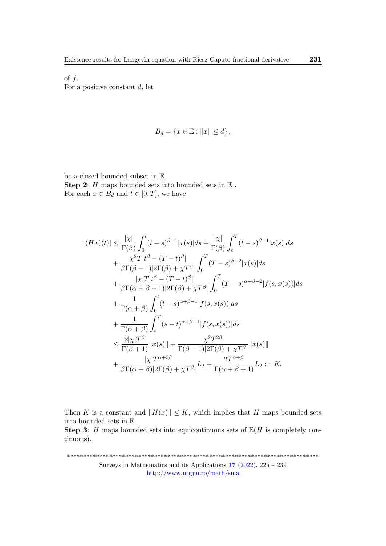of  $f$ . For a positive constant  $d$ , let

$$
B_d = \{ x \in \mathbb{E} : ||x|| \le d \},\
$$

be a closed bounded subset in E. **Step 2:**  $H$  maps bounded sets into bounded sets in  $E$ . For each  $x \in B_d$  and  $t \in [0, T]$ , we have

$$
|(Hx)(t)| \leq \frac{|\chi|}{\Gamma(\beta)} \int_0^t (t-s)^{\beta-1} |x(s)| ds + \frac{|\chi|}{\Gamma(\beta)} \int_t^T (t-s)^{\beta-1} |x(s)| ds
$$
  
+ 
$$
\frac{\chi^2 T |t^{\beta} - (T-t)^{\beta}|}{\beta \Gamma(\beta - 1) |2 \Gamma(\beta) + \chi T^{\beta}|} \int_0^T (T-s)^{\beta-2} |x(s)| ds
$$
  
+ 
$$
\frac{|\chi|T| t^{\beta} - (T-t)^{\beta}|}{\beta \Gamma(\alpha + \beta - 1) |2 \Gamma(\beta) + \chi T^{\beta}|} \int_0^T (T-s)^{\alpha + \beta - 2} |f(s, x(s))| ds
$$
  
+ 
$$
\frac{1}{\Gamma(\alpha + \beta)} \int_0^t (t-s)^{\alpha + \beta - 1} |f(s, x(s))| ds
$$
  
+ 
$$
\frac{1}{\Gamma(\alpha + \beta)} \int_t^T (s-t)^{\alpha + \beta - 1} |f(s, x(s))| ds
$$
  

$$
\leq \frac{2|\chi|T^{\beta}}{\Gamma(\beta + 1)} ||x(s)|| + \frac{\chi^2 T^{2\beta}}{\Gamma(\beta + 1) |2 \Gamma(\beta) + \chi T^{\beta}|} ||x(s)||
$$
  
+ 
$$
\frac{|\chi|T^{\alpha + 2\beta}}{\beta \Gamma(\alpha + \beta) |2 \Gamma(\beta) + \chi T^{\beta}|} L_2 + \frac{2T^{\alpha + \beta}}{\Gamma(\alpha + \beta + 1)} L_2 := K.
$$

Then K is a constant and  $||H(x)|| \leq K$ , which implies that H maps bounded sets into bounded sets in E.

**Step 3:** H maps bounded sets into equicontinuous sets of  $\mathbb{E}(H)$  is completely continuous).

\*\*\*\*\*\*\*\*\*\*\*\*\*\*\*\*\*\*\*\*\*\*\*\*\*\*\*\*\*\*\*\*\*\*\*\*\*\*\*\*\*\*\*\*\*\*\*\*\*\*\*\*\*\*\*\*\*\*\*\*\*\*\*\*\*\*\*\*\*\*\*\*\*\*\*\*\*\* Surveys in Mathematics and its Applications 17 [\(2022\),](http://www.utgjiu.ro/math/sma/v17/v17.html) 225 – 239 <http://www.utgjiu.ro/math/sma>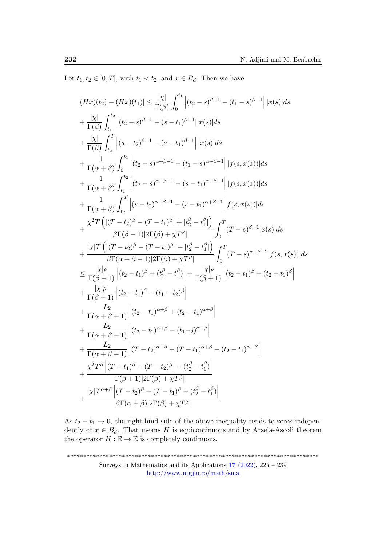Let  $t_1, t_2 \in [0, T]$ , with  $t_1 < t_2$ , and  $x \in B_d$ . Then we have

$$
|(Hx)(t_2) - (Hx)(t_1)| \leq \frac{|\chi|}{\Gamma(\beta)} \int_0^{t_1} |(t_2 - s)^{\beta - 1} - (t_1 - s)^{\beta - 1}| |x(s)| ds
$$
  
+  $\frac{|\chi|}{\Gamma(\beta)} \int_{t_1}^{t_2} |(t_2 - s)^{\beta - 1} - (s - t_1)^{\beta - 1}| |x(s)| ds$   
+  $\frac{|\chi|}{\Gamma(\beta)} \int_{t_2}^{T} |(s - t_2)^{\beta - 1} - (s - t_1)^{\beta - 1}| |x(s)| ds$   
+  $\frac{1}{\Gamma(\alpha + \beta)} \int_0^{t_1} |(t_2 - s)^{\alpha + \beta - 1} - (t_1 - s)^{\alpha + \beta - 1}| |f(s, x(s))| ds$   
+  $\frac{1}{\Gamma(\alpha + \beta)} \int_{t_1}^{t_2} |(t_2 - s)^{\alpha + \beta - 1} - (s - t_1)^{\alpha + \beta - 1}| |f(s, x(s))| ds$   
+  $\frac{1}{\Gamma(\alpha + \beta)} \int_{t_2}^{T} |(s - t_2)^{\alpha + \beta - 1} - (s - t_1)^{\alpha + \beta - 1}| f(s, x(s))| ds$   
+  $\frac{\chi^2 T (|(T - t_2)^{\beta} - (T - t_1)^{\beta}| + |t_2^{\beta} - t_1^{\beta}|)}{\beta \Gamma(\beta - 1)|2\Gamma(\beta) + \chi T^{\beta}|} \int_0^T (T - s)^{\beta - 1}|x(s)| ds$   
+  $\frac{|\chi|T (|(T - t_2)^{\beta} - (T - t_1)^{\beta}| + |t_2^{\beta} - t_1^{\beta}|)}{\beta \Gamma(\alpha + \beta - 1)|2\Gamma(\beta) + \chi T^{\beta}|} \int_0^T (T - s)^{\alpha + \beta - 2}|f(s, x(s))| ds$   
 $\leq \frac{|\chi|\rho}{\Gamma(\beta + 1)} |(t_2 - t_1)^{\beta} + (t_2^{\beta} - t_1^{\beta})| + \frac{|\chi|\rho}{\Gamma(\beta + 1)} |(t_2 - t_1)^{\beta} + (t_2 - t_1)^{\beta}|$   
+  $\frac{L_2}{\Gamma(\alpha + \beta + 1)} |(t_2 -$ 

As  $t_2 - t_1 \rightarrow 0$ , the right-hind side of the above inequality tends to zeros independently of  $x \in B_d$ . That means H is equicontinuous and by Arzela-Ascoli theorem the operator  $H : \mathbb{E} \to \mathbb{E}$  is completely continuous.

\*\*\*\*\*\*\*\*\*\*\*\*\*\*\*\*\*\*\*\*\*\*\*\*\*\*\*\*\*\*\*\*\*\*\*\*\*\*\*\*\*\*\*\*\*\*\*\*\*\*\*\*\*\*\*\*\*\*\*\*\*\*\*\*\*\*\*\*\*\*\*\*\*\*\*\*\*\* Surveys in Mathematics and its Applications 17 [\(2022\),](http://www.utgjiu.ro/math/sma/v17/v17.html) 225 – 239 <http://www.utgjiu.ro/math/sma>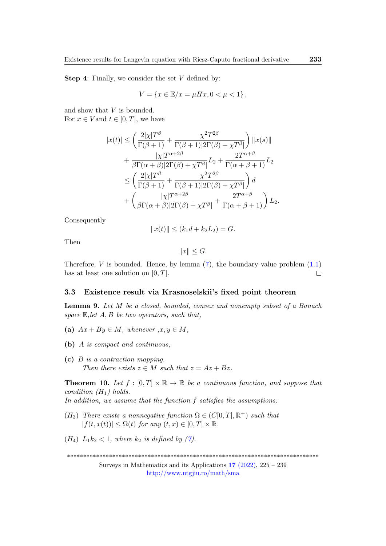**Step 4:** Finally, we consider the set  $V$  defined by:

$$
V = \{ x \in \mathbb{E}/x = \mu Hx, 0 < \mu < 1 \},
$$

and show that V is bounded. For  $x \in V$  and  $t \in [0, T]$ , we have

$$
|x(t)| \leq \left(\frac{2|\chi|T^{\beta}}{\Gamma(\beta+1)} + \frac{\chi^2 T^{2\beta}}{\Gamma(\beta+1)|2\Gamma(\beta)+\chi T^{\beta}|}\right) ||x(s)||
$$
  
+ 
$$
\frac{|\chi|T^{\alpha+2\beta}}{\beta\Gamma(\alpha+\beta)|2\Gamma(\beta)+\chi T^{\beta}|}L_2 + \frac{2T^{\alpha+\beta}}{\Gamma(\alpha+\beta+1)}L_2
$$
  

$$
\leq \left(\frac{2|\chi|T^{\beta}}{\Gamma(\beta+1)} + \frac{\chi^2 T^{2\beta}}{\Gamma(\beta+1)|2\Gamma(\beta)+\chi T^{\beta}|}\right)d
$$
  
+ 
$$
\left(\frac{|\chi|T^{\alpha+2\beta}}{\beta\Gamma(\alpha+\beta)|2\Gamma(\beta)+\chi T^{\beta}|} + \frac{2T^{\alpha+\beta}}{\Gamma(\alpha+\beta+1)}\right)L_2.
$$

Consequently

$$
||x(t)|| \le (k_1d + k_2L_2) = G.
$$

Then

$$
||x|| \le G.
$$

Therefore,  $V$  is bounded. Hence, by lemma  $(7)$ , the boundary value problem  $(1.1)$ has at least one solution on  $[0, T]$ .  $\Box$ 

#### 3.3 Existence result via Krasnoselskii's fixed point theorem

<span id="page-8-0"></span>Lemma 9. Let M be a closed, bounded, convex and nonempty subset of a Banach space  $E$ , let  $A, B$  be two operators, such that,

- (a)  $Ax + By \in M$ , whenever  $x, y \in M$ ,
- (b) A is compact and continuous,
- (c) B is a contraction mapping. Then there exists  $z \in M$  such that  $z = Az + Bz$ .

<span id="page-8-1"></span>**Theorem 10.** Let  $f : [0, T] \times \mathbb{R} \to \mathbb{R}$  be a continuous function, and suppose that condition  $(H_1)$  holds.

In addition, we assume that the function f satisfies the assumptions:

- (H<sub>3</sub>) There exists a nonnegative function  $\Omega \in (C[0,T], \mathbb{R}^+)$  such that  $|f(t, x(t))| \leq \Omega(t)$  for any  $(t, x) \in [0, T] \times \mathbb{R}$ .
- $(H_4) L_1k_2 < 1$ , where  $k_2$  is defined by [\(7\)](#page-3-4).

\*\*\*\*\*\*\*\*\*\*\*\*\*\*\*\*\*\*\*\*\*\*\*\*\*\*\*\*\*\*\*\*\*\*\*\*\*\*\*\*\*\*\*\*\*\*\*\*\*\*\*\*\*\*\*\*\*\*\*\*\*\*\*\*\*\*\*\*\*\*\*\*\*\*\*\*\*\*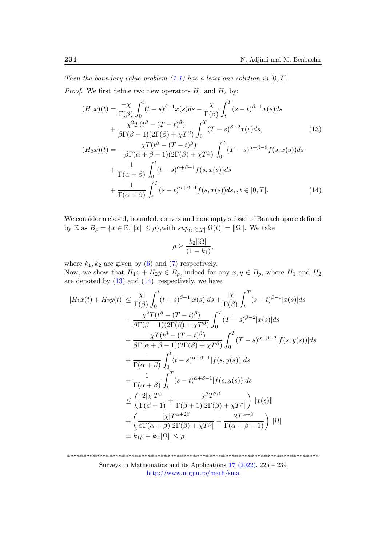Then the boundary value problem  $(1.1)$  has a least one solution in  $[0, T]$ . *Proof.* We first define two new operators  $H_1$  and  $H_2$  by:

$$
(H_1x)(t) = \frac{-\chi}{\Gamma(\beta)} \int_0^t (t-s)^{\beta-1} x(s) ds - \frac{\chi}{\Gamma(\beta)} \int_t^T (s-t)^{\beta-1} x(s) ds
$$
  
+ 
$$
\frac{\chi^2 T(t^{\beta} - (T-t)^{\beta})}{\beta \Gamma(\beta-1)(2\Gamma(\beta) + \chi T^{\beta})} \int_0^T (T-s)^{\beta-2} x(s) ds, \qquad (13)
$$
  

$$
(H_2x)(t) = -\frac{\chi T(t^{\beta} - (T-t)^{\beta})}{\beta \Gamma(\alpha + \beta - 1)(2\Gamma(\beta) + \chi T^{\beta})} \int_0^T (T-s)^{\alpha+\beta-2} f(s, x(s)) ds
$$
  
+ 
$$
\frac{1}{\Gamma(\alpha+\beta)} \int_0^t (t-s)^{\alpha+\beta-1} f(s, x(s)) ds, t \in [0, T]. \qquad (14)
$$

We consider a closed, bounded, convex and nonempty subset of Banach space defined by  $\mathbb E$  as  $B_\rho = \{x \in \mathbb E, \|x\| \leq \rho\}$ , with  $sup_{t \in [0,T]} |\Omega(t)| = ||\Omega||$ . We take

<span id="page-9-1"></span><span id="page-9-0"></span>
$$
\rho \ge \frac{k_2 \|\Omega\|}{(1 - k_1)},
$$

where  $k_1, k_2$  are given by [\(6\)](#page-3-5) and [\(7\)](#page-3-4) respectively.

Now, we show that  $H_1x + H_2y \in B_\rho$ , indeed for any  $x, y \in B_\rho$ , where  $H_1$  and  $H_2$ are denoted by  $(13)$  and  $(14)$ , respectively, we have

$$
|H_1x(t) + H_2y(t)| \leq \frac{|\chi|}{\Gamma(\beta)} \int_0^t (t-s)^{\beta-1} |x(s)| ds + \frac{|\chi|}{\Gamma(\beta)} \int_t^T (s-t)^{\beta-1} |x(s)| ds
$$
  
+ 
$$
\frac{\chi^2 T(t^{\beta} - (T-t)^{\beta})}{\beta \Gamma(\beta - 1)(2\Gamma(\beta) + \chi T^{\beta})} \int_0^T (T-s)^{\beta-2} |x(s)| ds
$$
  
+ 
$$
\frac{\chi T(t^{\beta} - (T-t)^{\beta})}{\beta \Gamma(\alpha + \beta - 1)(2\Gamma(\beta) + \chi T^{\beta})} \int_0^T (T-s)^{\alpha + \beta - 2} |f(s, y(s))| ds
$$
  
+ 
$$
\frac{1}{\Gamma(\alpha + \beta)} \int_0^t (t-s)^{\alpha + \beta - 1} |f(s, y(s))| ds
$$
  
+ 
$$
\frac{1}{\Gamma(\alpha + \beta)} \int_t^T (s-t)^{\alpha + \beta - 1} |f(s, y(s))| ds
$$
  

$$
\leq \left(\frac{2|\chi|T^{\beta}}{\Gamma(\beta + 1)} + \frac{\chi^2 T^{2\beta}}{\Gamma(\beta + 1)|2\Gamma(\beta) + \chi T^{\beta}|}\right) ||x(s)||
$$
  
+ 
$$
\left(\frac{|\chi|T^{\alpha + 2\beta}}{\beta \Gamma(\alpha + \beta)|2\Gamma(\beta) + \chi T^{\beta}|} + \frac{2T^{\alpha + \beta}}{\Gamma(\alpha + \beta + 1)}\right) ||\Omega||
$$
  
= 
$$
k_1 \rho + k_2 ||\Omega|| \leq \rho.
$$

\*\*\*\*\*\*\*\*\*\*\*\*\*\*\*\*\*\*\*\*\*\*\*\*\*\*\*\*\*\*\*\*\*\*\*\*\*\*\*\*\*\*\*\*\*\*\*\*\*\*\*\*\*\*\*\*\*\*\*\*\*\*\*\*\*\*\*\*\*\*\*\*\*\*\*\*\*\* Surveys in Mathematics and its Applications  $17$  [\(2022\),](http://www.utgjiu.ro/math/sma/v17/v17.html) 225 – 239 <http://www.utgjiu.ro/math/sma>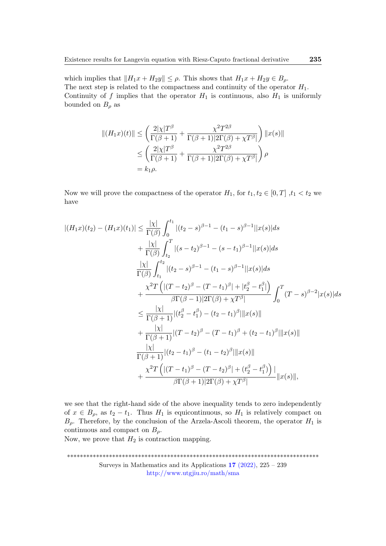which implies that  $||H_1x + H_2y|| \le \rho$ . This shows that  $H_1x + H_2y \in B_\rho$ . The next step is related to the compactness and continuity of the operator  $H_1$ . Continuity of f implies that the operator  $H_1$  is continuous, also  $H_1$  is uniformly bounded on  $B_{\rho}$  as

$$
||(H_1x)(t)|| \le \left(\frac{2|\chi|T^{\beta}}{\Gamma(\beta+1)} + \frac{\chi^2 T^{2\beta}}{\Gamma(\beta+1)|2\Gamma(\beta)+\chi T^{\beta}|}\right) ||x(s)||
$$
  

$$
\le \left(\frac{2|\chi|T^{\beta}}{\Gamma(\beta+1)} + \frac{\chi^2 T^{2\beta}}{\Gamma(\beta+1)|2\Gamma(\beta)+\chi T^{\beta}|}\right)\rho
$$
  

$$
= k_1\rho.
$$

Now we will prove the compactness of the operator  $H_1$ , for  $t_1, t_2 \in [0, T]$ ,  $t_1 < t_2$  we have

$$
|(H_1x)(t_2) - (H_1x)(t_1)| \leq \frac{|\chi|}{\Gamma(\beta)} \int_0^{t_1} |(t_2 - s)^{\beta - 1} - (t_1 - s)^{\beta - 1}||x(s)|ds
$$
  
+ 
$$
\frac{|\chi|}{\Gamma(\beta)} \int_{t_2}^T |(s - t_2)^{\beta - 1} - (s - t_1)^{\beta - 1}||x(s)|ds
$$
  

$$
\frac{|\chi|}{\Gamma(\beta)} \int_{t_1}^{t_2} |(t_2 - s)^{\beta - 1} - (t_1 - s)^{\beta - 1}||x(s)|ds
$$
  
+ 
$$
\frac{\chi^2 T (|(T - t_2)^{\beta} - (T - t_1)^{\beta}| + |t_2^{\beta} - t_1^{\beta}|)}{\beta \Gamma(\beta - 1)|2\Gamma(\beta) + \chi T^{\beta}|} \int_0^T (T - s)^{\beta - 2}|x(s)|ds
$$
  

$$
\leq \frac{|\chi|}{\Gamma(\beta + 1)} |(t_2^{\beta} - t_1^{\beta}) - (t_2 - t_1)^{\beta}||x(s)||
$$
  
+ 
$$
\frac{|\chi|}{\Gamma(\beta + 1)} |(T - t_2)^{\beta} - (T - t_1)^{\beta} + (t_2 - t_1)^{\beta}||x(s)||
$$
  
+ 
$$
\frac{|\chi|}{\Gamma(\beta + 1)} |(t_2 - t_1)^{\beta} - (t_1 - t_2)^{\beta}||x(s)||
$$
  
+ 
$$
\frac{\chi^2 T (|(T - t_1)^{\beta} - (T - t_2)^{\beta}| + (t_2^{\beta} - t_1^{\beta}))}{\beta \Gamma(\beta + 1)|2\Gamma(\beta) + \chi T^{\beta}|} ||x(s)||,
$$

we see that the right-hand side of the above inequality tends to zero independently of  $x \in B_\rho$ , as  $t_2 - t_1$ . Thus  $H_1$  is equicontinuous, so  $H_1$  is relatively compact on  $B_{\rho}$ . Therefore, by the conclusion of the Arzela-Ascoli theorem, the operator  $H_1$  is continuous and compact on  $B_{\rho}$ .

Now, we prove that  $H_2$  is contraction mapping.

\*\*\*\*\*\*\*\*\*\*\*\*\*\*\*\*\*\*\*\*\*\*\*\*\*\*\*\*\*\*\*\*\*\*\*\*\*\*\*\*\*\*\*\*\*\*\*\*\*\*\*\*\*\*\*\*\*\*\*\*\*\*\*\*\*\*\*\*\*\*\*\*\*\*\*\*\*\* Surveys in Mathematics and its Applications  $17$  [\(2022\),](http://www.utgjiu.ro/math/sma/v17/v17.html) 225 – 239 <http://www.utgjiu.ro/math/sma>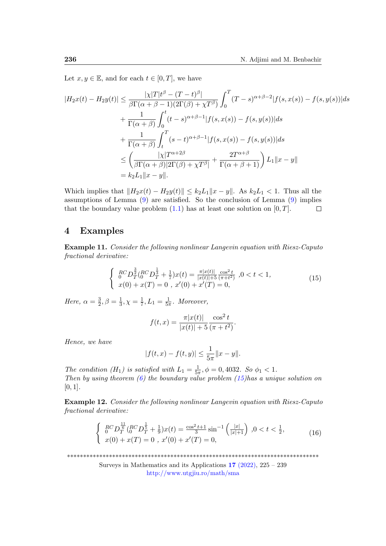Let  $x, y \in \mathbb{E}$ , and for each  $t \in [0, T]$ , we have

$$
|H_2x(t) - H_2y(t)| \le \frac{|\chi|T|t^{\beta} - (T-t)^{\beta}|}{\beta \Gamma(\alpha + \beta - 1)(2\Gamma(\beta) + \chi T^{\beta})} \int_0^T (T-s)^{\alpha + \beta - 2} |f(s, x(s)) - f(s, y(s))| ds
$$
  
+ 
$$
\frac{1}{\Gamma(\alpha + \beta)} \int_0^t (t-s)^{\alpha + \beta - 1} |f(s, x(s)) - f(s, y(s))| ds
$$
  
+ 
$$
\frac{1}{\Gamma(\alpha + \beta)} \int_t^T (s-t)^{\alpha + \beta - 1} |f(s, x(s)) - f(s, y(s))| ds
$$
  

$$
\le \left(\frac{|\chi|T^{\alpha + 2\beta}}{\beta \Gamma(\alpha + \beta)|2\Gamma(\beta) + \chi T^{\beta}|} + \frac{2T^{\alpha + \beta}}{\Gamma(\alpha + \beta + 1)}\right) L_1 ||x - y||
$$
  
=  $k_2 L_1 ||x - y||$ .

Which implies that  $||H_2x(t) - H_2y(t)|| \le k_2L_1||x - y||$ . As  $k_2L_1 < 1$ . Thus all the assumptions of Lemma [\(9\)](#page-8-0) are satisfied. So the conclusion of Lemma [\(9\)](#page-8-0) implies that the boundary value problem  $(1.1)$  has at least one solution on  $[0, T]$ .  $\Box$ 

### <span id="page-11-0"></span>4 Examples

Example 11. Consider the following nonlinear Langevin equation with Riesz-Caputo fractional derivative:

$$
\begin{cases}\n\frac{RC}{0}D_T^{\frac{3}{2}}(RCD_T^{\frac{1}{3}} + \frac{1}{7})x(t) = \frac{\pi |x(t)|}{|x(t)| + 5} \frac{\cos^2 t}{(\pi + t^2)}, 0 < t < 1, \\
x(0) + x(T) = 0, \ x'(0) + x'(T) = 0,\n\end{cases} \tag{15}
$$

Here,  $\alpha = \frac{3}{2}$  $\frac{3}{2}, \beta = \frac{1}{3}$  $\frac{1}{3}, \chi = \frac{1}{7}$  $\frac{1}{7}, L_1 = \frac{1}{5\pi}$  $\frac{1}{5\pi}$ . Moreover,

<span id="page-11-1"></span>
$$
f(t,x) = \frac{\pi |x(t)|}{|x(t)| + 5} \frac{\cos^2 t}{(\pi + t^2)}.
$$

Hence, we have

<span id="page-11-2"></span>
$$
|f(t,x) - f(t,y)| \le \frac{1}{5\pi} ||x - y||.
$$

The condition (H<sub>1</sub>) is satisfied with  $L_1 = \frac{1}{5i}$  $\frac{1}{5\pi}$ ,  $\phi = 0$ , 4032. So  $\phi_1 < 1$ . Then by using theorem  $(6)$  the boundary value problem  $(15)$  has a unique solution on  $[0, 1]$ .

Example 12. Consider the following nonlinear Langevin equation with Riesz-Caputo fractional derivative:

$$
\begin{cases}\n\frac{RC}{0}D_{\overline{T}}^{\frac{11}{6}}(RCD_{\overline{T}}^{\frac{1}{5}} + \frac{1}{9})x(t) = \frac{\cos^2 t + 1}{3}\sin^{-1}\left(\frac{|x|}{|x|+1}\right), 0 < t < \frac{1}{2}, \\
x(0) + x(T) = 0, \ x'(0) + x'(T) = 0,\n\end{cases} (16)
$$

\*\*\*\*\*\*\*\*\*\*\*\*\*\*\*\*\*\*\*\*\*\*\*\*\*\*\*\*\*\*\*\*\*\*\*\*\*\*\*\*\*\*\*\*\*\*\*\*\*\*\*\*\*\*\*\*\*\*\*\*\*\*\*\*\*\*\*\*\*\*\*\*\*\*\*\*\*\*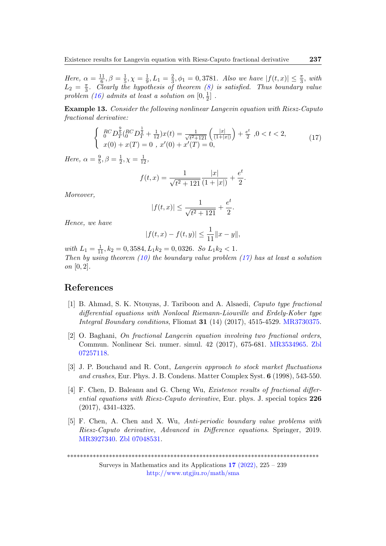Here,  $\alpha = \frac{11}{6}$  $\frac{11}{6}, \beta = \frac{1}{5}$  $\frac{1}{5}, \chi = \frac{1}{9}$  $\frac{1}{9}, L_1 = \frac{2}{3}$  $\frac{2}{3}, \phi_1 = 0,3781$ . Also we have  $|f(t,x)| \leq \frac{\pi}{3}$ , with  $L_2 = \frac{\pi}{3}$  $\frac{\pi}{3}$ . Clearly the hypothesis of theorem [\(8\)](#page-5-1) is satisfied. Thus boundary value problem [\(16\)](#page-11-2) admits at least a solution on  $[0, \frac{1}{2}]$  $\frac{1}{2}$ .

Example 13. Consider the following nonlinear Langevin equation with Riesz-Caputo fractional derivative:

$$
\begin{cases}\n\frac{RC}{0}D_{\overline{Y}}^{\frac{9}{5}}(RCD_{\overline{Y}}^{\frac{1}{2}} + \frac{1}{12})x(t) = \frac{1}{\sqrt{t^2 + 121}} \left(\frac{|x|}{(1+|x|)}\right) + \frac{e^t}{2}, 0 < t < 2, \\
x(0) + x(T) = 0, \ x'(0) + x'(T) = 0,\n\end{cases} \tag{17}
$$

Here,  $\alpha = \frac{9}{5}$  $\frac{9}{5}, \beta = \frac{1}{2}$  $\frac{1}{2}, \chi = \frac{1}{12},$ 

$$
f(t,x) = \frac{1}{\sqrt{t^2 + 121}} \frac{|x|}{(1+|x|)} + \frac{e^t}{2}.
$$

Moreover,

<span id="page-12-4"></span>
$$
|f(t,x)| \leq \frac{1}{\sqrt{t^2+121}} + \frac{e^t}{2}.
$$

Hence, we have

$$
|f(t,x) - f(t,y)| \le \frac{1}{11} ||x - y||,
$$

with  $L_1 = \frac{1}{11}$ ,  $k_2 = 0$ , 3584,  $L_1 k_2 = 0$ , 0326. So  $L_1 k_2 < 1$ . Then by using theorem [\(10\)](#page-8-1) the boundary value problem [\(17\)](#page-12-4) has at least a solution on [0, 2].

# References

- <span id="page-12-0"></span>[1] B. Ahmad, S. K. Ntouyas, J. Tariboon and A. Alsaedi, Caputo type fractional differential equations with Nonlocal Riemann-Liouville and Erdely-Kober type Integral Boundary conditions, Fliomat 31 (14) (2017), 4515-4529. [MR3730375.](https://mathscinet.ams.org/mathscinet-getitem?mr=3730375)
- <span id="page-12-2"></span>[2] O. Baghani, On fractional Langevin equation involving two fractional orders, Commun. Nonlinear Sci. numer. simul. 42 (2017), 675-681. [MR3534965.](https://mathscinet.ams.org/mathscinet-getitem?mr=3534965) [Zbl](https://www.zbmath.org/?q=an:07257118) [07257118.](https://www.zbmath.org/?q=an:07257118)
- <span id="page-12-1"></span>[3] J. P. Bouchaud and R. Cont, Langevin approach to stock market fluctuations and crashes, Eur. Phys. J. B. Condens. Matter Complex Syst. 6 (1998), 543-550.
- [4] F. Chen, D. Baleanu and G. Cheng Wu, *Existence results of fractional differ*ential equations with Riesz-Caputo derivative, Eur. phys. J. special topics 226 (2017), 4341-4325.
- <span id="page-12-3"></span>[5] F. Chen, A. Chen and X. Wu, Anti-periodic boundary value problems with Riesz-Caputo derivative, Advanced in Difference equations. Springer, 2019. [MR3927340.](https://mathscinet.ams.org/mathscinet-getitem?mr=3927340) [Zbl 07048531.](https://www.zbmath.org/?q=an:07048531)

\*\*\*\*\*\*\*\*\*\*\*\*\*\*\*\*\*\*\*\*\*\*\*\*\*\*\*\*\*\*\*\*\*\*\*\*\*\*\*\*\*\*\*\*\*\*\*\*\*\*\*\*\*\*\*\*\*\*\*\*\*\*\*\*\*\*\*\*\*\*\*\*\*\*\*\*\*\*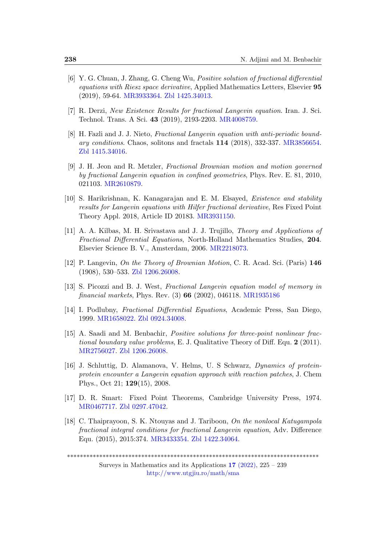- [6] Y. G. Chuan, J. Zhang, G. Cheng Wu, Positive solution of fractional differential equations with Riesz space derivative, Applied Mathematics Letters, Elsevier 95 (2019), 59-64. [MR3933364.](https://mathscinet.ams.org/mathscinet-getitem?mr=3933364) [Zbl 1425.34013.](https://www.zbmath.org/?q=an:1425.34013)
- <span id="page-13-6"></span>[7] R. Derzi, New Existence Results for fractional Langevin equation. Iran. J. Sci. Technol. Trans. A Sci. 43 (2019), 2193-2203. [MR4008759.](https://mathscinet.ams.org/mathscinet-getitem?mr=4008759)
- <span id="page-13-5"></span>[8] H. Fazli and J. J. Nieto, Fractional Langevin equation with anti-periodic boundary conditions. Chaos, solitons and fractals 114 (2018), 332-337. [MR3856654.](https://mathscinet.ams.org/mathscinet-getitem?mr=3856654) [Zbl 1415.34016.](https://www.zbmath.org/?q=an:1415.34016)
- [9] J. H. Jeon and R. Metzler, Fractional Brownian motion and motion governed by fractional Langevin equation in confined geometries, Phys. Rev. E. 81, 2010, 021103. [MR2610879.](https://mathscinet.ams.org/mathscinet-getitem?mr=2610879)
- <span id="page-13-7"></span>[10] S. Harikrishnan, K. Kanagarajan and E. M. Elsayed, *Existence and stability* results for Langevin equations with Hilfer fractional derivative, Res Fixed Point Theory Appl. 2018, Article ID 20183. [MR3931150.](https://mathscinet.ams.org/mathscinet-getitem?mr=3931150)
- <span id="page-13-0"></span>[11] A. A. Kilbas, M. H. Srivastava and J. J. Trujillo, Theory and Applications of Fractional Differential Equations, North-Holland Mathematics Studies, 204. Elsevier Science B. V., Amsterdam, 2006. [MR2218073.](https://mathscinet.ams.org/mathscinet-getitem?mr=2218073)
- <span id="page-13-3"></span>[12] P. Langevin, On the Theory of Brownian Motion, C. R. Acad. Sci. (Paris) 146 (1908), 530–533. [Zbl 1206.26008.](https://www.zbmath.org/?q=an:39.0847.03)
- [13] S. Picozzi and B. J. West, Fractional Langevin equation model of memory in financial markets, Phys. Rev. (3) 66 (2002), 046118. [MR1935186](https://mathscinet.ams.org/mathscinet-getitem?mr=1935186)
- <span id="page-13-2"></span>[14] I. Podlubny, Fractional Differential Equations, Academic Press, San Diego, 1999. [MR1658022.](https://mathscinet.ams.org/mathscinet-getitem?mr=1658022) [Zbl 0924.34008.](https://www.zbmath.org/?q=an:0924.34008)
- <span id="page-13-1"></span>[15] A. Saadi and M. Benbachir, Positive solutions for three-point nonlinear fractional boundary value problems, E. J. Qualitative Theory of Diff. Equ. 2 (2011). [MR2756027.](https://mathscinet.ams.org/mathscinet-getitem?mr=2756027) [Zbl 1206.26008.](https://www.zbmath.org/?q=an:1206.26008)
- <span id="page-13-4"></span>[16] J. Schluttig, D. Alamanova, V. Helms, U. S Schwarz, Dynamics of proteinprotein encounter a Langevin equation approach with reaction patches, J. Chem Phys., Oct 21; 129(15), 2008.
- [17] D. R. Smart: Fixed Point Theorems, Cambridge University Press, 1974. [MR0467717.](https://mathscinet.ams.org/mathscinet-getitem?mr=0467717) [Zbl 0297.47042.](https://www.zbmath.org/?q=an:0297.47042)
- <span id="page-13-8"></span>[18] C. Thaiprayoon, S. K. Ntouyas and J. Tariboon, On the nonlocal Katugampola fractional integral conditions for fractional Langevin equation, Adv. Difference Equ. (2015), 2015:374. [MR3433354.](https://mathscinet.ams.org/mathscinet-getitem?mr=3433354) [Zbl 1422.34064.](https://www.zbmath.org/?q=an:1422.34064)

<sup>\*\*\*\*\*\*\*\*\*\*\*\*\*\*\*\*\*\*\*\*\*\*\*\*\*\*\*\*\*\*\*\*\*\*\*\*\*\*\*\*\*\*\*\*\*\*\*\*\*\*\*\*\*\*\*\*\*\*\*\*\*\*\*\*\*\*\*\*\*\*\*\*\*\*\*\*\*\*</sup>

Surveys in Mathematics and its Applications  $17$  [\(2022\),](http://www.utgjiu.ro/math/sma/v17/v17.html) 225 – 239 <http://www.utgjiu.ro/math/sma>